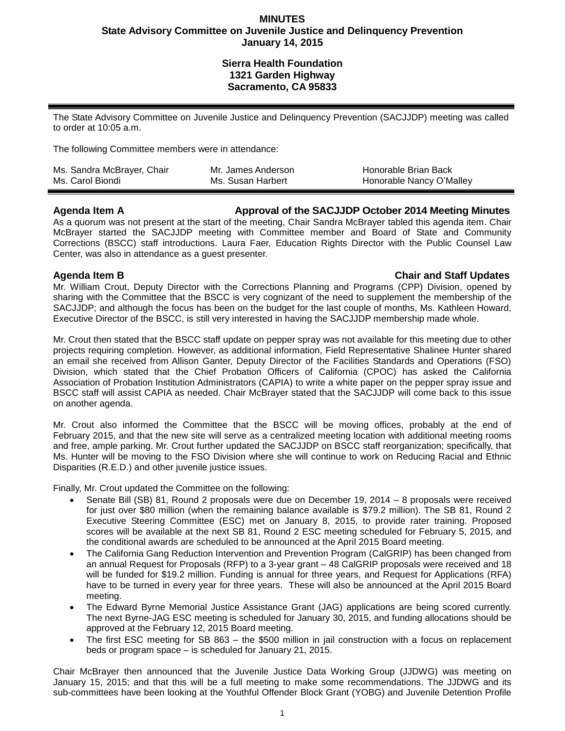### **MINUTES State Advisory Committee on Juvenile Justice and Delinquency Prevention January 14, 2015**

# **Sierra Health Foundation 1321 Garden Highway Sacramento, CA 95833**

The State Advisory Committee on Juvenile Justice and Delinquency Prevention (SACJJDP) meeting was called to order at 10:05 a.m.

The following Committee members were in attendance:

| Ms. Sandra McBrayer, Chair | Mr. James Anderson | Honorable Brian Back     |
|----------------------------|--------------------|--------------------------|
| Ms. Carol Biondi           | Ms. Susan Harbert  | Honorable Nancy O'Malley |

### **Agenda Item A Approval of the SACJJDP October 2014 Meeting Minutes**

As a quorum was not present at the start of the meeting, Chair Sandra McBrayer tabled this agenda item. Chair McBrayer started the SACJJDP meeting with Committee member and Board of State and Community Corrections (BSCC) staff introductions. Laura Faer, Education Rights Director with the Public Counsel Law Center, was also in attendance as a guest presenter.

### **Agenda Item B Chair and Staff Updates**

Mr. William Crout, Deputy Director with the Corrections Planning and Programs (CPP) Division, opened by sharing with the Committee that the BSCC is very cognizant of the need to supplement the membership of the SACJJDP; and although the focus has been on the budget for the last couple of months, Ms. Kathleen Howard, Executive Director of the BSCC, is still very interested in having the SACJJDP membership made whole.

Mr. Crout then stated that the BSCC staff update on pepper spray was not available for this meeting due to other projects requiring completion. However, as additional information, Field Representative Shalinee Hunter shared an email she received from Allison Ganter, Deputy Director of the Facilities Standards and Operations (FSO) Division, which stated that the Chief Probation Officers of California (CPOC) has asked the California Association of Probation Institution Administrators (CAPIA) to write a white paper on the pepper spray issue and BSCC staff will assist CAPIA as needed. Chair McBrayer stated that the SACJJDP will come back to this issue on another agenda.

Mr. Crout also informed the Committee that the BSCC will be moving offices, probably at the end of February 2015, and that the new site will serve as a centralized meeting location with additional meeting rooms and free, ample parking. Mr. Crout further updated the SACJJDP on BSCC staff reorganization; specifically, that Ms. Hunter will be moving to the FSO Division where she will continue to work on Reducing Racial and Ethnic Disparities (R.E.D.) and other juvenile justice issues.

Finally, Mr. Crout updated the Committee on the following:

- Senate Bill (SB) 81, Round 2 proposals were due on December 19, 2014 8 proposals were received for just over \$80 million (when the remaining balance available is \$79.2 million). The SB 81, Round 2 Executive Steering Committee (ESC) met on January 8, 2015, to provide rater training. Proposed scores will be available at the next SB 81, Round 2 ESC meeting scheduled for February 5, 2015, and the conditional awards are scheduled to be announced at the April 2015 Board meeting.
- The California Gang Reduction Intervention and Prevention Program (CalGRIP) has been changed from an annual Request for Proposals (RFP) to a 3-year grant – 48 CalGRIP proposals were received and 18 will be funded for \$19.2 million. Funding is annual for three years, and Request for Applications (RFA) have to be turned in every year for three years. These will also be announced at the April 2015 Board meeting.
- The Edward Byrne Memorial Justice Assistance Grant (JAG) applications are being scored currently. The next Byrne-JAG ESC meeting is scheduled for January 30, 2015, and funding allocations should be approved at the February 12, 2015 Board meeting.
- The first ESC meeting for SB 863 the \$500 million in jail construction with a focus on replacement beds or program space – is scheduled for January 21, 2015.

Chair McBrayer then announced that the Juvenile Justice Data Working Group (JJDWG) was meeting on January 15, 2015; and that this will be a full meeting to make some recommendations. The JJDWG and its sub-committees have been looking at the Youthful Offender Block Grant (YOBG) and Juvenile Detention Profile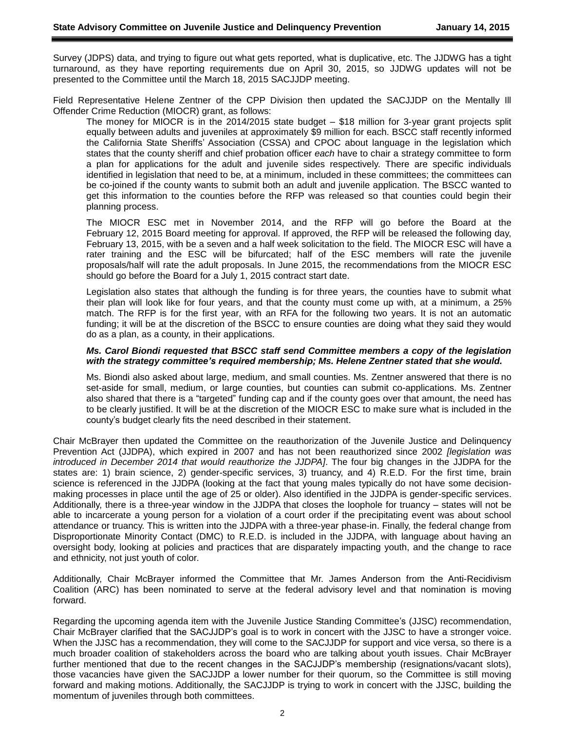Survey (JDPS) data, and trying to figure out what gets reported, what is duplicative, etc. The JJDWG has a tight turnaround, as they have reporting requirements due on April 30, 2015, so JJDWG updates will not be presented to the Committee until the March 18, 2015 SACJJDP meeting.

Field Representative Helene Zentner of the CPP Division then updated the SACJJDP on the Mentally Ill Offender Crime Reduction (MIOCR) grant, as follows:

The money for MIOCR is in the 2014/2015 state budget – \$18 million for 3-year grant projects split equally between adults and juveniles at approximately \$9 million for each. BSCC staff recently informed the California State Sheriffs' Association (CSSA) and CPOC about language in the legislation which states that the county sheriff and chief probation officer *each* have to chair a strategy committee to form a plan for applications for the adult and juvenile sides respectively. There are specific individuals identified in legislation that need to be, at a minimum, included in these committees; the committees can be co-joined if the county wants to submit both an adult and juvenile application. The BSCC wanted to get this information to the counties before the RFP was released so that counties could begin their planning process.

The MIOCR ESC met in November 2014, and the RFP will go before the Board at the February 12, 2015 Board meeting for approval. If approved, the RFP will be released the following day, February 13, 2015, with be a seven and a half week solicitation to the field. The MIOCR ESC will have a rater training and the ESC will be bifurcated; half of the ESC members will rate the juvenile proposals/half will rate the adult proposals. In June 2015, the recommendations from the MIOCR ESC should go before the Board for a July 1, 2015 contract start date.

Legislation also states that although the funding is for three years, the counties have to submit what their plan will look like for four years, and that the county must come up with, at a minimum, a 25% match. The RFP is for the first year, with an RFA for the following two years. It is not an automatic funding; it will be at the discretion of the BSCC to ensure counties are doing what they said they would do as a plan, as a county, in their applications.

#### *Ms. Carol Biondi requested that BSCC staff send Committee members a copy of the legislation with the strategy committee's required membership; Ms. Helene Zentner stated that she would.*

Ms. Biondi also asked about large, medium, and small counties. Ms. Zentner answered that there is no set-aside for small, medium, or large counties, but counties can submit co-applications. Ms. Zentner also shared that there is a "targeted" funding cap and if the county goes over that amount, the need has to be clearly justified. It will be at the discretion of the MIOCR ESC to make sure what is included in the county's budget clearly fits the need described in their statement.

Chair McBrayer then updated the Committee on the reauthorization of the Juvenile Justice and Delinquency Prevention Act (JJDPA), which expired in 2007 and has not been reauthorized since 2002 *[legislation was introduced in December 2014 that would reauthorize the JJDPA]*. The four big changes in the JJDPA for the states are: 1) brain science, 2) gender-specific services, 3) truancy, and 4) R.E.D. For the first time, brain science is referenced in the JJDPA (looking at the fact that young males typically do not have some decisionmaking processes in place until the age of 25 or older). Also identified in the JJDPA is gender-specific services. Additionally, there is a three-year window in the JJDPA that closes the loophole for truancy – states will not be able to incarcerate a young person for a violation of a court order if the precipitating event was about school attendance or truancy. This is written into the JJDPA with a three-year phase-in. Finally, the federal change from Disproportionate Minority Contact (DMC) to R.E.D. is included in the JJDPA, with language about having an oversight body, looking at policies and practices that are disparately impacting youth, and the change to race and ethnicity, not just youth of color.

Additionally, Chair McBrayer informed the Committee that Mr. James Anderson from the Anti-Recidivism Coalition (ARC) has been nominated to serve at the federal advisory level and that nomination is moving forward.

Regarding the upcoming agenda item with the Juvenile Justice Standing Committee's (JJSC) recommendation, Chair McBrayer clarified that the SACJJDP's goal is to work in concert with the JJSC to have a stronger voice. When the JJSC has a recommendation, they will come to the SACJJDP for support and vice versa, so there is a much broader coalition of stakeholders across the board who are talking about youth issues. Chair McBrayer further mentioned that due to the recent changes in the SACJJDP's membership (resignations/vacant slots), those vacancies have given the SACJJDP a lower number for their quorum, so the Committee is still moving forward and making motions. Additionally, the SACJJDP is trying to work in concert with the JJSC, building the momentum of juveniles through both committees.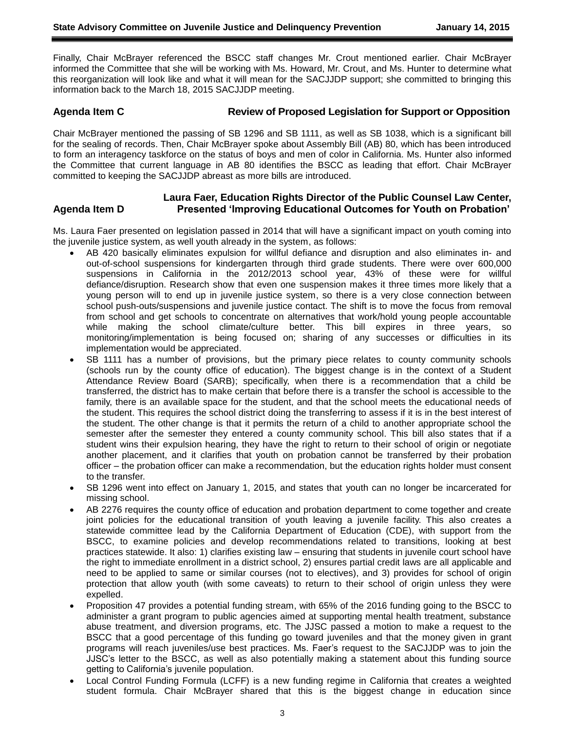Finally, Chair McBrayer referenced the BSCC staff changes Mr. Crout mentioned earlier. Chair McBrayer informed the Committee that she will be working with Ms. Howard, Mr. Crout, and Ms. Hunter to determine what this reorganization will look like and what it will mean for the SACJJDP support; she committed to bringing this information back to the March 18, 2015 SACJJDP meeting.

# **Agenda Item C Review of Proposed Legislation for Support or Opposition**

Chair McBrayer mentioned the passing of SB 1296 and SB 1111, as well as SB 1038, which is a significant bill for the sealing of records. Then, Chair McBrayer spoke about Assembly Bill (AB) 80, which has been introduced to form an interagency taskforce on the status of boys and men of color in California. Ms. Hunter also informed the Committee that current language in AB 80 identifies the BSCC as leading that effort. Chair McBrayer committed to keeping the SACJJDP abreast as more bills are introduced.

# **Laura Faer, Education Rights Director of the Public Counsel Law Center, Agenda Item D Presented 'Improving Educational Outcomes for Youth on Probation'**

Ms. Laura Faer presented on legislation passed in 2014 that will have a significant impact on youth coming into the juvenile justice system, as well youth already in the system, as follows:

- AB 420 basically eliminates expulsion for willful defiance and disruption and also eliminates in- and out-of-school suspensions for kindergarten through third grade students. There were over 600,000 suspensions in California in the 2012/2013 school year, 43% of these were for willful defiance/disruption. Research show that even one suspension makes it three times more likely that a young person will to end up in juvenile justice system, so there is a very close connection between school push-outs/suspensions and juvenile justice contact. The shift is to move the focus from removal from school and get schools to concentrate on alternatives that work/hold young people accountable while making the school climate/culture better. This bill expires in three years, so monitoring/implementation is being focused on; sharing of any successes or difficulties in its implementation would be appreciated.
- SB 1111 has a number of provisions, but the primary piece relates to county community schools (schools run by the county office of education). The biggest change is in the context of a Student Attendance Review Board (SARB); specifically, when there is a recommendation that a child be transferred, the district has to make certain that before there is a transfer the school is accessible to the family, there is an available space for the student, and that the school meets the educational needs of the student. This requires the school district doing the transferring to assess if it is in the best interest of the student. The other change is that it permits the return of a child to another appropriate school the semester after the semester they entered a county community school. This bill also states that if a student wins their expulsion hearing, they have the right to return to their school of origin or negotiate another placement, and it clarifies that youth on probation cannot be transferred by their probation officer – the probation officer can make a recommendation, but the education rights holder must consent to the transfer.
- SB 1296 went into effect on January 1, 2015, and states that youth can no longer be incarcerated for missing school.
- AB 2276 requires the county office of education and probation department to come together and create joint policies for the educational transition of youth leaving a juvenile facility. This also creates a statewide committee lead by the California Department of Education (CDE), with support from the BSCC, to examine policies and develop recommendations related to transitions, looking at best practices statewide. It also: 1) clarifies existing law – ensuring that students in juvenile court school have the right to immediate enrollment in a district school, 2) ensures partial credit laws are all applicable and need to be applied to same or similar courses (not to electives), and 3) provides for school of origin protection that allow youth (with some caveats) to return to their school of origin unless they were expelled.
- Proposition 47 provides a potential funding stream, with 65% of the 2016 funding going to the BSCC to administer a grant program to public agencies aimed at supporting mental health treatment, substance abuse treatment, and diversion programs, etc. The JJSC passed a motion to make a request to the BSCC that a good percentage of this funding go toward juveniles and that the money given in grant programs will reach juveniles/use best practices. Ms. Faer's request to the SACJJDP was to join the JJSC's letter to the BSCC, as well as also potentially making a statement about this funding source getting to California's juvenile population.
- Local Control Funding Formula (LCFF) is a new funding regime in California that creates a weighted student formula. Chair McBrayer shared that this is the biggest change in education since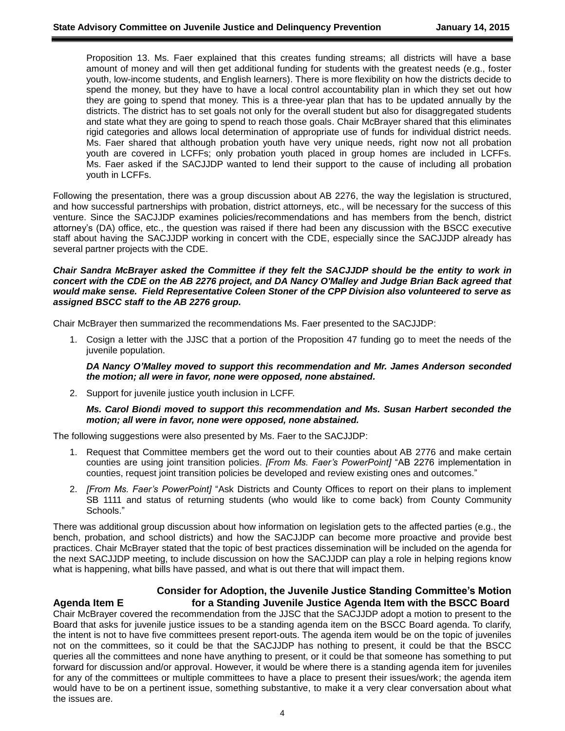Proposition 13. Ms. Faer explained that this creates funding streams; all districts will have a base amount of money and will then get additional funding for students with the greatest needs (e.g., foster youth, low-income students, and English learners). There is more flexibility on how the districts decide to spend the money, but they have to have a local control accountability plan in which they set out how they are going to spend that money. This is a three-year plan that has to be updated annually by the districts. The district has to set goals not only for the overall student but also for disaggregated students and state what they are going to spend to reach those goals. Chair McBrayer shared that this eliminates rigid categories and allows local determination of appropriate use of funds for individual district needs. Ms. Faer shared that although probation youth have very unique needs, right now not all probation youth are covered in LCFFs; only probation youth placed in group homes are included in LCFFs. Ms. Faer asked if the SACJJDP wanted to lend their support to the cause of including all probation youth in LCFFs.

Following the presentation, there was a group discussion about AB 2276, the way the legislation is structured, and how successful partnerships with probation, district attorneys, etc., will be necessary for the success of this venture. Since the SACJJDP examines policies/recommendations and has members from the bench, district attorney's (DA) office, etc., the question was raised if there had been any discussion with the BSCC executive staff about having the SACJJDP working in concert with the CDE, especially since the SACJJDP already has several partner projects with the CDE.

#### *Chair Sandra McBrayer asked the Committee if they felt the SACJJDP should be the entity to work in concert with the CDE on the AB 2276 project, and DA Nancy O'Malley and Judge Brian Back agreed that would make sense. Field Representative Coleen Stoner of the CPP Division also volunteered to serve as assigned BSCC staff to the AB 2276 group.*

Chair McBrayer then summarized the recommendations Ms. Faer presented to the SACJJDP:

1. Cosign a letter with the JJSC that a portion of the Proposition 47 funding go to meet the needs of the juvenile population.

*DA Nancy O'Malley moved to support this recommendation and Mr. James Anderson seconded the motion; all were in favor, none were opposed, none abstained.*

2. Support for juvenile justice youth inclusion in LCFF.

#### *Ms. Carol Biondi moved to support this recommendation and Ms. Susan Harbert seconded the motion; all were in favor, none were opposed, none abstained.*

The following suggestions were also presented by Ms. Faer to the SACJJDP:

- 1. Request that Committee members get the word out to their counties about AB 2776 and make certain counties are using joint transition policies. *[From Ms. Faer's PowerPoint]* "AB 2276 implementation in counties, request joint transition policies be developed and review existing ones and outcomes."
- 2. *[From Ms. Faer's PowerPoint]* "Ask Districts and County Offices to report on their plans to implement SB 1111 and status of returning students (who would like to come back) from County Community Schools."

There was additional group discussion about how information on legislation gets to the affected parties (e.g., the bench, probation, and school districts) and how the SACJJDP can become more proactive and provide best practices. Chair McBrayer stated that the topic of best practices dissemination will be included on the agenda for the next SACJJDP meeting, to include discussion on how the SACJJDP can play a role in helping regions know what is happening, what bills have passed, and what is out there that will impact them.

# **Consider for Adoption, the Juvenile Justice Standing Committee's Motion Agenda Item E for a Standing Juvenile Justice Agenda Item with the BSCC Board**

Chair McBrayer covered the recommendation from the JJSC that the SACJJDP adopt a motion to present to the Board that asks for juvenile justice issues to be a standing agenda item on the BSCC Board agenda. To clarify, the intent is not to have five committees present report-outs. The agenda item would be on the topic of juveniles not on the committees, so it could be that the SACJJDP has nothing to present, it could be that the BSCC queries all the committees and none have anything to present, or it could be that someone has something to put forward for discussion and/or approval. However, it would be where there is a standing agenda item for juveniles for any of the committees or multiple committees to have a place to present their issues/work; the agenda item would have to be on a pertinent issue, something substantive, to make it a very clear conversation about what the issues are.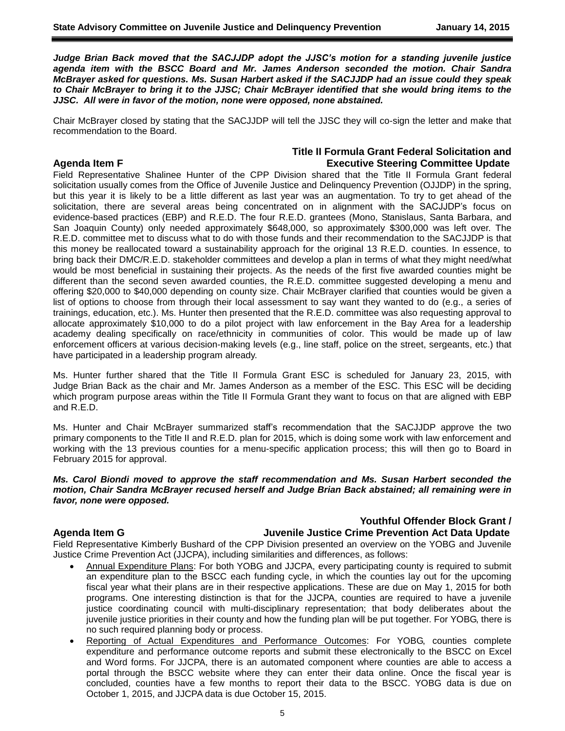*Judge Brian Back moved that the SACJJDP adopt the JJSC's motion for a standing juvenile justice agenda item with the BSCC Board and Mr. James Anderson seconded the motion. Chair Sandra McBrayer asked for questions. Ms. Susan Harbert asked if the SACJJDP had an issue could they speak to Chair McBrayer to bring it to the JJSC; Chair McBrayer identified that she would bring items to the JJSC. All were in favor of the motion, none were opposed, none abstained.*

Chair McBrayer closed by stating that the SACJJDP will tell the JJSC they will co-sign the letter and make that recommendation to the Board.

### **Title II Formula Grant Federal Solicitation and Agenda Item F Executive Steering Committee Update**

Field Representative Shalinee Hunter of the CPP Division shared that the Title II Formula Grant federal solicitation usually comes from the Office of Juvenile Justice and Delinquency Prevention (OJJDP) in the spring, but this year it is likely to be a little different as last year was an augmentation. To try to get ahead of the solicitation, there are several areas being concentrated on in alignment with the SACJJDP's focus on evidence-based practices (EBP) and R.E.D. The four R.E.D. grantees (Mono, Stanislaus, Santa Barbara, and San Joaquin County) only needed approximately \$648,000, so approximately \$300,000 was left over. The R.E.D. committee met to discuss what to do with those funds and their recommendation to the SACJJDP is that this money be reallocated toward a sustainability approach for the original 13 R.E.D. counties. In essence, to bring back their DMC/R.E.D. stakeholder committees and develop a plan in terms of what they might need/what would be most beneficial in sustaining their projects. As the needs of the first five awarded counties might be different than the second seven awarded counties, the R.E.D. committee suggested developing a menu and offering \$20,000 to \$40,000 depending on county size. Chair McBrayer clarified that counties would be given a list of options to choose from through their local assessment to say want they wanted to do (e.g., a series of trainings, education, etc.). Ms. Hunter then presented that the R.E.D. committee was also requesting approval to allocate approximately \$10,000 to do a pilot project with law enforcement in the Bay Area for a leadership academy dealing specifically on race/ethnicity in communities of color. This would be made up of law enforcement officers at various decision-making levels (e.g., line staff, police on the street, sergeants, etc.) that have participated in a leadership program already.

Ms. Hunter further shared that the Title II Formula Grant ESC is scheduled for January 23, 2015, with Judge Brian Back as the chair and Mr. James Anderson as a member of the ESC. This ESC will be deciding which program purpose areas within the Title II Formula Grant they want to focus on that are aligned with EBP and R.E.D.

Ms. Hunter and Chair McBrayer summarized staff's recommendation that the SACJJDP approve the two primary components to the Title II and R.E.D. plan for 2015, which is doing some work with law enforcement and working with the 13 previous counties for a menu-specific application process; this will then go to Board in February 2015 for approval.

*Ms. Carol Biondi moved to approve the staff recommendation and Ms. Susan Harbert seconded the motion, Chair Sandra McBrayer recused herself and Judge Brian Back abstained; all remaining were in favor, none were opposed.*

# **Youthful Offender Block Grant /**

# **Agenda Item G Juvenile Justice Crime Prevention Act Data Update**

Field Representative Kimberly Bushard of the CPP Division presented an overview on the YOBG and Juvenile Justice Crime Prevention Act (JJCPA), including similarities and differences, as follows:

- Annual Expenditure Plans: For both YOBG and JJCPA, every participating county is required to submit an expenditure plan to the BSCC each funding cycle, in which the counties lay out for the upcoming fiscal year what their plans are in their respective applications. These are due on May 1, 2015 for both programs. One interesting distinction is that for the JJCPA, counties are required to have a juvenile justice coordinating council with multi-disciplinary representation; that body deliberates about the juvenile justice priorities in their county and how the funding plan will be put together. For YOBG, there is no such required planning body or process.
- Reporting of Actual Expenditures and Performance Outcomes: For YOBG, counties complete expenditure and performance outcome reports and submit these electronically to the BSCC on Excel and Word forms. For JJCPA, there is an automated component where counties are able to access a portal through the BSCC website where they can enter their data online. Once the fiscal year is concluded, counties have a few months to report their data to the BSCC. YOBG data is due on October 1, 2015, and JJCPA data is due October 15, 2015.